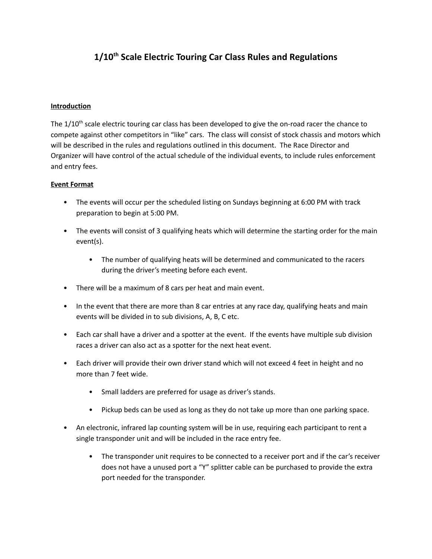# **1/10 th Scale Electric Touring Car Class Rules and Regulations**

#### **Introduction**

The 1/10<sup>th</sup> scale electric touring car class has been developed to give the on-road racer the chance to compete against other competitors in "like" cars. The class will consist of stock chassis and motors which will be described in the rules and regulations outlined in this document. The Race Director and Organizer will have control of the actual schedule of the individual events, to include rules enforcement and entry fees.

## **Event Format**

- The events will occur per the scheduled listing on Sundays beginning at 6:00 PM with track preparation to begin at 5:00 PM.
- The events will consist of 3 qualifying heats which will determine the starting order for the main event(s).
	- The number of qualifying heats will be determined and communicated to the racers during the driver's meeting before each event.
- There will be a maximum of 8 cars per heat and main event.
- In the event that there are more than 8 car entries at any race day, qualifying heats and main events will be divided in to sub divisions, A, B, C etc.
- Each car shall have a driver and a spotter at the event. If the events have multiple sub division races a driver can also act as a spotter for the next heat event.
- Each driver will provide their own driver stand which will not exceed 4 feet in height and no more than 7 feet wide.
	- Small ladders are preferred for usage as driver's stands.
	- Pickup beds can be used as long as they do not take up more than one parking space.
- An electronic, infrared lap counting system will be in use, requiring each participant to rent a single transponder unit and will be included in the race entry fee.
	- The transponder unit requires to be connected to a receiver port and if the car's receiver does not have a unused port a "Y" splitter cable can be purchased to provide the extra port needed for the transponder.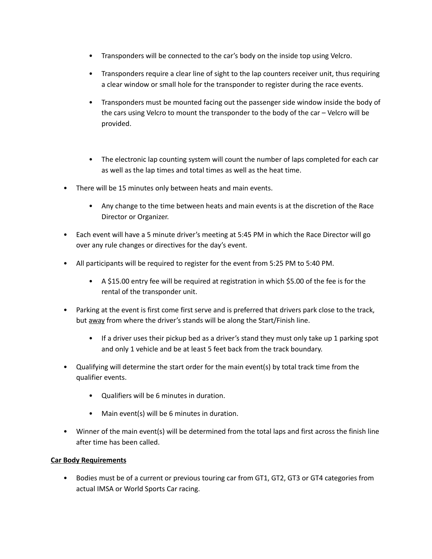- Transponders will be connected to the car's body on the inside top using Velcro.
- Transponders require a clear line of sight to the lap counters receiver unit, thus requiring a clear window or small hole for the transponder to register during the race events.
- Transponders must be mounted facing out the passenger side window inside the body of the cars using Velcro to mount the transponder to the body of the car – Velcro will be provided.
- The electronic lap counting system will count the number of laps completed for each car as well as the lap times and total times as well as the heat time.
- There will be 15 minutes only between heats and main events.
	- Any change to the time between heats and main events is at the discretion of the Race Director or Organizer.
- Each event will have a 5 minute driver's meeting at 5:45 PM in which the Race Director will go over any rule changes or directives for the day's event.
- All participants will be required to register for the event from 5:25 PM to 5:40 PM.
	- A \$15.00 entry fee will be required at registration in which \$5.00 of the fee is for the rental of the transponder unit.
- Parking at the event is first come first serve and is preferred that drivers park close to the track, but away from where the driver's stands will be along the Start/Finish line.
	- If a driver uses their pickup bed as a driver's stand they must only take up 1 parking spot and only 1 vehicle and be at least 5 feet back from the track boundary.
- Qualifying will determine the start order for the main event(s) by total track time from the qualifier events.
	- Qualifiers will be 6 minutes in duration.
	- Main event(s) will be 6 minutes in duration.
- Winner of the main event(s) will be determined from the total laps and first across the finish line after time has been called.

#### **Car Body Requirements**

• Bodies must be of a current or previous touring car from GT1, GT2, GT3 or GT4 categories from actual IMSA or World Sports Car racing.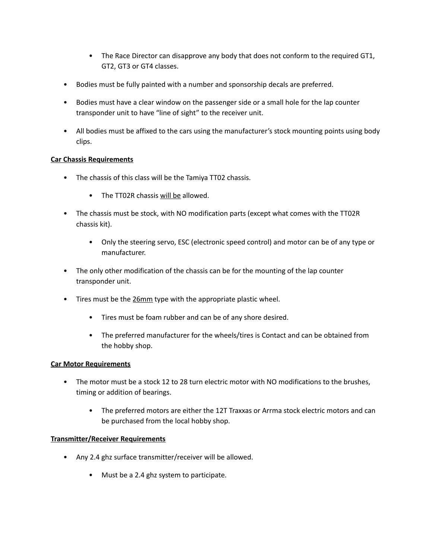- The Race Director can disapprove any body that does not conform to the required GT1, GT2, GT3 or GT4 classes.
- Bodies must be fully painted with a number and sponsorship decals are preferred.
- Bodies must have a clear window on the passenger side or a small hole for the lap counter transponder unit to have "line of sight" to the receiver unit.
- All bodies must be affixed to the cars using the manufacturer's stock mounting points using body clips.

## **Car Chassis Requirements**

- The chassis of this class will be the Tamiya TT02 chassis.
	- The TT02R chassis will be allowed.
- The chassis must be stock, with NO modification parts (except what comes with the TT02R chassis kit).
	- Only the steering servo, ESC (electronic speed control) and motor can be of any type or manufacturer.
- The only other modification of the chassis can be for the mounting of the lap counter transponder unit.
- Tires must be the 26mm type with the appropriate plastic wheel.
	- Tires must be foam rubber and can be of any shore desired.
	- The preferred manufacturer for the wheels/tires is Contact and can be obtained from the hobby shop.

#### **Car Motor Requirements**

- The motor must be a stock 12 to 28 turn electric motor with NO modifications to the brushes, timing or addition of bearings.
	- The preferred motors are either the 12T Traxxas or Arrma stock electric motors and can be purchased from the local hobby shop.

#### **Transmitter/Receiver Requirements**

- Any 2.4 ghz surface transmitter/receiver will be allowed.
	- Must be a 2.4 ghz system to participate.